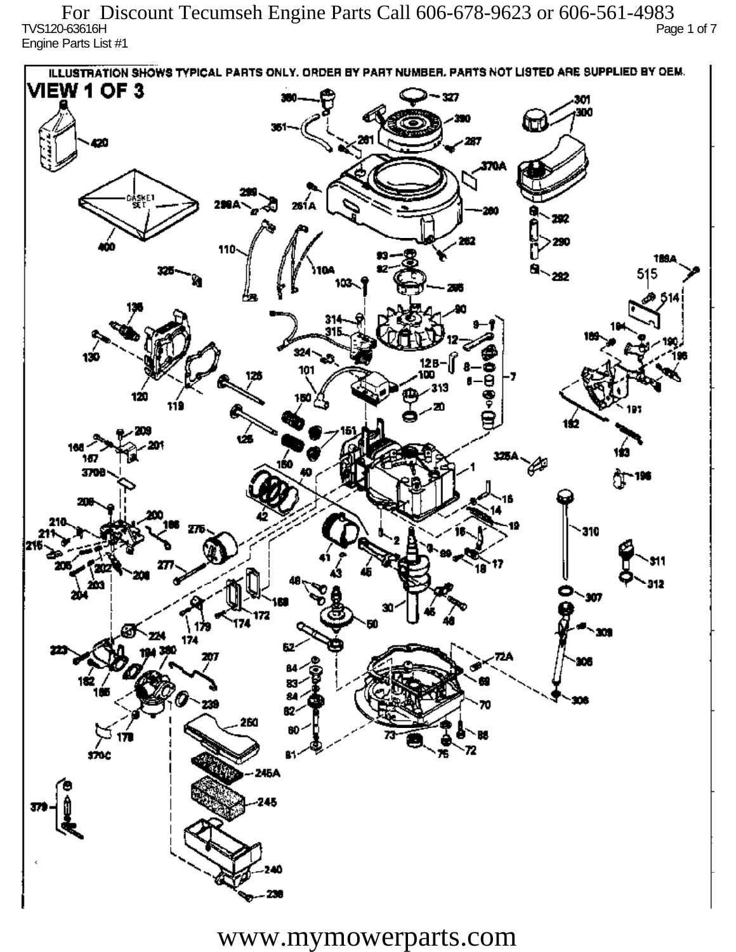TVS120-63616H Page 1 of 7 Engine Parts List #1 For Discount Tecumseh Engine Parts Call 606-678-9623 or 606-561-4983

ILLUSTRATION SHOWS TYPICAL PARTS ONLY. ORDER BY PART NUMBER, PARTS NOT LISTED ARE SUPPLIED BY DEM. **VIEW 1 OF 3** - 327 301 300 20 370A iskF1 261 A ж 292 290 110 1894 515 292 324 130 12 R 101 313 120 دھر 1ś2 ÚБ 160 167 160 P 3709 196 77 310 912 201 Ô,  $\mathbf{m}$ 172 174 174 182 ÷. ß2 260 72 sioc 76 81 245A 245 40

www.mymowerparts.com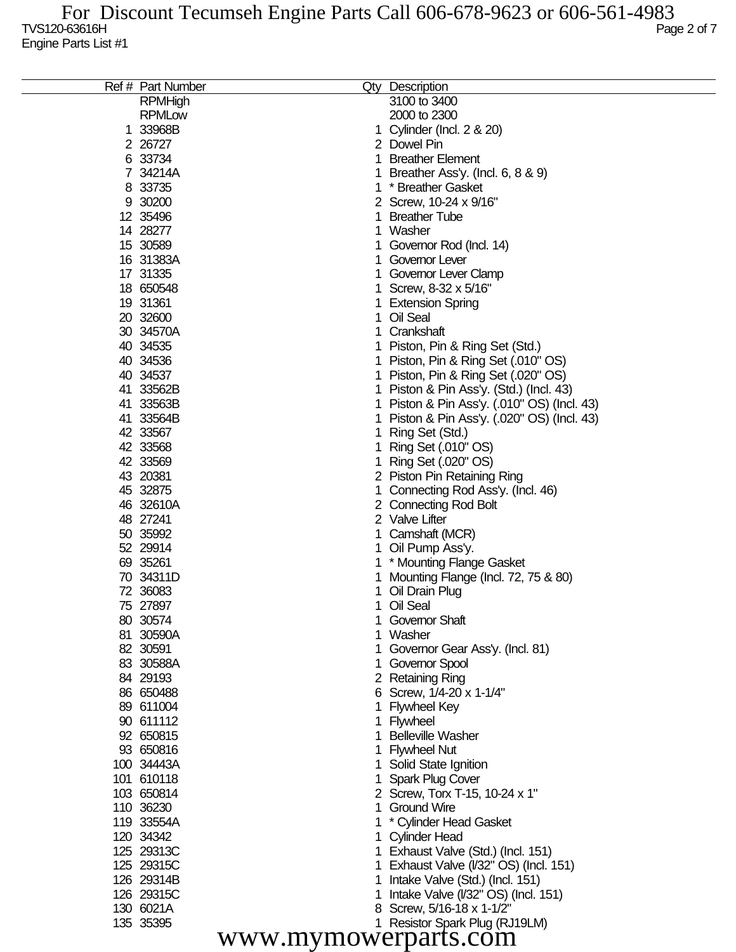| 3100 to 3400<br><b>RPMHigh</b><br><b>RPMLow</b><br>2000 to 2300<br>1 33968B<br>Cylinder (Incl. 2 & 20)<br>2 26727<br>2 Dowel Pin<br>6 33734<br><b>Breather Element</b><br>1<br>7 34214A<br>Breather Ass'y. (Incl. 6, 8 & 9)<br>8 33735<br>* Breather Gasket<br>9 30200<br>2 Screw, 10-24 x 9/16"<br>12 35496<br><b>Breather Tube</b><br>14 28277<br>Washer<br>1<br>15 30589<br>Governor Rod (Incl. 14)<br>16 31383A<br>Governor Lever<br>17 31335<br>Governor Lever Clamp<br>18 650548<br>Screw, 8-32 x 5/16"<br>19 31361<br><b>Extension Spring</b><br>20 32600<br>Oil Seal<br>30 34570A<br>Crankshaft<br>40 34535<br>Piston, Pin & Ring Set (Std.)<br>40 34536<br>Piston, Pin & Ring Set (.010" OS)<br>40 34537<br>Piston, Pin & Ring Set (.020" OS)<br>41 33562B<br>Piston & Pin Ass'y. (Std.) (Incl. 43)<br>41 33563B<br>Piston & Pin Ass'y. (.010" OS) (Incl. 43)<br>41 33564B<br>Piston & Pin Ass'y. (.020" OS) (Incl. 43)<br>42 33567<br>Ring Set (Std.)<br>42 33568<br>Ring Set (.010" OS)<br>42 33569<br>Ring Set (.020" OS)<br>43 20381<br>2 Piston Pin Retaining Ring<br>45 32875<br>Connecting Rod Ass'y. (Incl. 46)<br>46 32610A<br>2 Connecting Rod Bolt<br>48 27241<br>2 Valve Lifter<br>50 35992<br>Camshaft (MCR)<br>52 29914<br>Oil Pump Ass'y.<br>69 35261<br>* Mounting Flange Gasket<br>70 34311D<br>Mounting Flange (Incl. 72, 75 & 80)<br>72 36083<br>Oil Drain Plug<br>75 27897<br>Oil Seal<br>80 30574<br>1 Governor Shaft<br>81 30590A<br>Washer<br>82 30591<br>Governor Gear Ass'y. (Incl. 81)<br>83 30588A<br><b>Governor Spool</b><br>84 29193<br>2 Retaining Ring<br>86 650488<br>6 Screw, 1/4-20 x 1-1/4"<br>89 611004<br><b>Flywheel Key</b><br>90 611112<br><b>Flywheel</b><br>92 650815<br><b>Belleville Washer</b><br>93 650816<br><b>Flywheel Nut</b><br>100 34443A<br>Solid State Ignition<br>101 610118<br><b>Spark Plug Cover</b><br>103 650814<br>2 Screw, Torx T-15, 10-24 x 1"<br>110 36230<br><b>Ground Wire</b><br>119 33554A<br>* Cylinder Head Gasket<br>120 34342<br><b>Cylinder Head</b><br>125 29313C<br>Exhaust Valve (Std.) (Incl. 151)<br>125 29315C<br>Exhaust Valve (V32" OS) (Incl. 151)<br>126 29314B<br>Intake Valve (Std.) (Incl. 151)<br>126 29315C<br>Intake Valve (I/32" OS) (Incl. 151)<br>8 Screw, 5/16-18 x 1-1/2"<br>130 6021A<br>135 35395<br>1 Resistor Spark Plug (RJ19LM)<br>www.mymowerparts.com |  | Ref # Part Number | Qty Description |
|------------------------------------------------------------------------------------------------------------------------------------------------------------------------------------------------------------------------------------------------------------------------------------------------------------------------------------------------------------------------------------------------------------------------------------------------------------------------------------------------------------------------------------------------------------------------------------------------------------------------------------------------------------------------------------------------------------------------------------------------------------------------------------------------------------------------------------------------------------------------------------------------------------------------------------------------------------------------------------------------------------------------------------------------------------------------------------------------------------------------------------------------------------------------------------------------------------------------------------------------------------------------------------------------------------------------------------------------------------------------------------------------------------------------------------------------------------------------------------------------------------------------------------------------------------------------------------------------------------------------------------------------------------------------------------------------------------------------------------------------------------------------------------------------------------------------------------------------------------------------------------------------------------------------------------------------------------------------------------------------------------------------------------------------------------------------------------------------------------------------------------------------------------------------------------------------------------------------------------------------------------------------------------------------------------------------------------------------------------------------|--|-------------------|-----------------|
|                                                                                                                                                                                                                                                                                                                                                                                                                                                                                                                                                                                                                                                                                                                                                                                                                                                                                                                                                                                                                                                                                                                                                                                                                                                                                                                                                                                                                                                                                                                                                                                                                                                                                                                                                                                                                                                                                                                                                                                                                                                                                                                                                                                                                                                                                                                                                                        |  |                   |                 |
|                                                                                                                                                                                                                                                                                                                                                                                                                                                                                                                                                                                                                                                                                                                                                                                                                                                                                                                                                                                                                                                                                                                                                                                                                                                                                                                                                                                                                                                                                                                                                                                                                                                                                                                                                                                                                                                                                                                                                                                                                                                                                                                                                                                                                                                                                                                                                                        |  |                   |                 |
|                                                                                                                                                                                                                                                                                                                                                                                                                                                                                                                                                                                                                                                                                                                                                                                                                                                                                                                                                                                                                                                                                                                                                                                                                                                                                                                                                                                                                                                                                                                                                                                                                                                                                                                                                                                                                                                                                                                                                                                                                                                                                                                                                                                                                                                                                                                                                                        |  |                   |                 |
|                                                                                                                                                                                                                                                                                                                                                                                                                                                                                                                                                                                                                                                                                                                                                                                                                                                                                                                                                                                                                                                                                                                                                                                                                                                                                                                                                                                                                                                                                                                                                                                                                                                                                                                                                                                                                                                                                                                                                                                                                                                                                                                                                                                                                                                                                                                                                                        |  |                   |                 |
|                                                                                                                                                                                                                                                                                                                                                                                                                                                                                                                                                                                                                                                                                                                                                                                                                                                                                                                                                                                                                                                                                                                                                                                                                                                                                                                                                                                                                                                                                                                                                                                                                                                                                                                                                                                                                                                                                                                                                                                                                                                                                                                                                                                                                                                                                                                                                                        |  |                   |                 |
|                                                                                                                                                                                                                                                                                                                                                                                                                                                                                                                                                                                                                                                                                                                                                                                                                                                                                                                                                                                                                                                                                                                                                                                                                                                                                                                                                                                                                                                                                                                                                                                                                                                                                                                                                                                                                                                                                                                                                                                                                                                                                                                                                                                                                                                                                                                                                                        |  |                   |                 |
|                                                                                                                                                                                                                                                                                                                                                                                                                                                                                                                                                                                                                                                                                                                                                                                                                                                                                                                                                                                                                                                                                                                                                                                                                                                                                                                                                                                                                                                                                                                                                                                                                                                                                                                                                                                                                                                                                                                                                                                                                                                                                                                                                                                                                                                                                                                                                                        |  |                   |                 |
|                                                                                                                                                                                                                                                                                                                                                                                                                                                                                                                                                                                                                                                                                                                                                                                                                                                                                                                                                                                                                                                                                                                                                                                                                                                                                                                                                                                                                                                                                                                                                                                                                                                                                                                                                                                                                                                                                                                                                                                                                                                                                                                                                                                                                                                                                                                                                                        |  |                   |                 |
|                                                                                                                                                                                                                                                                                                                                                                                                                                                                                                                                                                                                                                                                                                                                                                                                                                                                                                                                                                                                                                                                                                                                                                                                                                                                                                                                                                                                                                                                                                                                                                                                                                                                                                                                                                                                                                                                                                                                                                                                                                                                                                                                                                                                                                                                                                                                                                        |  |                   |                 |
|                                                                                                                                                                                                                                                                                                                                                                                                                                                                                                                                                                                                                                                                                                                                                                                                                                                                                                                                                                                                                                                                                                                                                                                                                                                                                                                                                                                                                                                                                                                                                                                                                                                                                                                                                                                                                                                                                                                                                                                                                                                                                                                                                                                                                                                                                                                                                                        |  |                   |                 |
|                                                                                                                                                                                                                                                                                                                                                                                                                                                                                                                                                                                                                                                                                                                                                                                                                                                                                                                                                                                                                                                                                                                                                                                                                                                                                                                                                                                                                                                                                                                                                                                                                                                                                                                                                                                                                                                                                                                                                                                                                                                                                                                                                                                                                                                                                                                                                                        |  |                   |                 |
|                                                                                                                                                                                                                                                                                                                                                                                                                                                                                                                                                                                                                                                                                                                                                                                                                                                                                                                                                                                                                                                                                                                                                                                                                                                                                                                                                                                                                                                                                                                                                                                                                                                                                                                                                                                                                                                                                                                                                                                                                                                                                                                                                                                                                                                                                                                                                                        |  |                   |                 |
|                                                                                                                                                                                                                                                                                                                                                                                                                                                                                                                                                                                                                                                                                                                                                                                                                                                                                                                                                                                                                                                                                                                                                                                                                                                                                                                                                                                                                                                                                                                                                                                                                                                                                                                                                                                                                                                                                                                                                                                                                                                                                                                                                                                                                                                                                                                                                                        |  |                   |                 |
|                                                                                                                                                                                                                                                                                                                                                                                                                                                                                                                                                                                                                                                                                                                                                                                                                                                                                                                                                                                                                                                                                                                                                                                                                                                                                                                                                                                                                                                                                                                                                                                                                                                                                                                                                                                                                                                                                                                                                                                                                                                                                                                                                                                                                                                                                                                                                                        |  |                   |                 |
|                                                                                                                                                                                                                                                                                                                                                                                                                                                                                                                                                                                                                                                                                                                                                                                                                                                                                                                                                                                                                                                                                                                                                                                                                                                                                                                                                                                                                                                                                                                                                                                                                                                                                                                                                                                                                                                                                                                                                                                                                                                                                                                                                                                                                                                                                                                                                                        |  |                   |                 |
|                                                                                                                                                                                                                                                                                                                                                                                                                                                                                                                                                                                                                                                                                                                                                                                                                                                                                                                                                                                                                                                                                                                                                                                                                                                                                                                                                                                                                                                                                                                                                                                                                                                                                                                                                                                                                                                                                                                                                                                                                                                                                                                                                                                                                                                                                                                                                                        |  |                   |                 |
|                                                                                                                                                                                                                                                                                                                                                                                                                                                                                                                                                                                                                                                                                                                                                                                                                                                                                                                                                                                                                                                                                                                                                                                                                                                                                                                                                                                                                                                                                                                                                                                                                                                                                                                                                                                                                                                                                                                                                                                                                                                                                                                                                                                                                                                                                                                                                                        |  |                   |                 |
|                                                                                                                                                                                                                                                                                                                                                                                                                                                                                                                                                                                                                                                                                                                                                                                                                                                                                                                                                                                                                                                                                                                                                                                                                                                                                                                                                                                                                                                                                                                                                                                                                                                                                                                                                                                                                                                                                                                                                                                                                                                                                                                                                                                                                                                                                                                                                                        |  |                   |                 |
|                                                                                                                                                                                                                                                                                                                                                                                                                                                                                                                                                                                                                                                                                                                                                                                                                                                                                                                                                                                                                                                                                                                                                                                                                                                                                                                                                                                                                                                                                                                                                                                                                                                                                                                                                                                                                                                                                                                                                                                                                                                                                                                                                                                                                                                                                                                                                                        |  |                   |                 |
|                                                                                                                                                                                                                                                                                                                                                                                                                                                                                                                                                                                                                                                                                                                                                                                                                                                                                                                                                                                                                                                                                                                                                                                                                                                                                                                                                                                                                                                                                                                                                                                                                                                                                                                                                                                                                                                                                                                                                                                                                                                                                                                                                                                                                                                                                                                                                                        |  |                   |                 |
|                                                                                                                                                                                                                                                                                                                                                                                                                                                                                                                                                                                                                                                                                                                                                                                                                                                                                                                                                                                                                                                                                                                                                                                                                                                                                                                                                                                                                                                                                                                                                                                                                                                                                                                                                                                                                                                                                                                                                                                                                                                                                                                                                                                                                                                                                                                                                                        |  |                   |                 |
|                                                                                                                                                                                                                                                                                                                                                                                                                                                                                                                                                                                                                                                                                                                                                                                                                                                                                                                                                                                                                                                                                                                                                                                                                                                                                                                                                                                                                                                                                                                                                                                                                                                                                                                                                                                                                                                                                                                                                                                                                                                                                                                                                                                                                                                                                                                                                                        |  |                   |                 |
|                                                                                                                                                                                                                                                                                                                                                                                                                                                                                                                                                                                                                                                                                                                                                                                                                                                                                                                                                                                                                                                                                                                                                                                                                                                                                                                                                                                                                                                                                                                                                                                                                                                                                                                                                                                                                                                                                                                                                                                                                                                                                                                                                                                                                                                                                                                                                                        |  |                   |                 |
|                                                                                                                                                                                                                                                                                                                                                                                                                                                                                                                                                                                                                                                                                                                                                                                                                                                                                                                                                                                                                                                                                                                                                                                                                                                                                                                                                                                                                                                                                                                                                                                                                                                                                                                                                                                                                                                                                                                                                                                                                                                                                                                                                                                                                                                                                                                                                                        |  |                   |                 |
|                                                                                                                                                                                                                                                                                                                                                                                                                                                                                                                                                                                                                                                                                                                                                                                                                                                                                                                                                                                                                                                                                                                                                                                                                                                                                                                                                                                                                                                                                                                                                                                                                                                                                                                                                                                                                                                                                                                                                                                                                                                                                                                                                                                                                                                                                                                                                                        |  |                   |                 |
|                                                                                                                                                                                                                                                                                                                                                                                                                                                                                                                                                                                                                                                                                                                                                                                                                                                                                                                                                                                                                                                                                                                                                                                                                                                                                                                                                                                                                                                                                                                                                                                                                                                                                                                                                                                                                                                                                                                                                                                                                                                                                                                                                                                                                                                                                                                                                                        |  |                   |                 |
|                                                                                                                                                                                                                                                                                                                                                                                                                                                                                                                                                                                                                                                                                                                                                                                                                                                                                                                                                                                                                                                                                                                                                                                                                                                                                                                                                                                                                                                                                                                                                                                                                                                                                                                                                                                                                                                                                                                                                                                                                                                                                                                                                                                                                                                                                                                                                                        |  |                   |                 |
|                                                                                                                                                                                                                                                                                                                                                                                                                                                                                                                                                                                                                                                                                                                                                                                                                                                                                                                                                                                                                                                                                                                                                                                                                                                                                                                                                                                                                                                                                                                                                                                                                                                                                                                                                                                                                                                                                                                                                                                                                                                                                                                                                                                                                                                                                                                                                                        |  |                   |                 |
|                                                                                                                                                                                                                                                                                                                                                                                                                                                                                                                                                                                                                                                                                                                                                                                                                                                                                                                                                                                                                                                                                                                                                                                                                                                                                                                                                                                                                                                                                                                                                                                                                                                                                                                                                                                                                                                                                                                                                                                                                                                                                                                                                                                                                                                                                                                                                                        |  |                   |                 |
|                                                                                                                                                                                                                                                                                                                                                                                                                                                                                                                                                                                                                                                                                                                                                                                                                                                                                                                                                                                                                                                                                                                                                                                                                                                                                                                                                                                                                                                                                                                                                                                                                                                                                                                                                                                                                                                                                                                                                                                                                                                                                                                                                                                                                                                                                                                                                                        |  |                   |                 |
|                                                                                                                                                                                                                                                                                                                                                                                                                                                                                                                                                                                                                                                                                                                                                                                                                                                                                                                                                                                                                                                                                                                                                                                                                                                                                                                                                                                                                                                                                                                                                                                                                                                                                                                                                                                                                                                                                                                                                                                                                                                                                                                                                                                                                                                                                                                                                                        |  |                   |                 |
|                                                                                                                                                                                                                                                                                                                                                                                                                                                                                                                                                                                                                                                                                                                                                                                                                                                                                                                                                                                                                                                                                                                                                                                                                                                                                                                                                                                                                                                                                                                                                                                                                                                                                                                                                                                                                                                                                                                                                                                                                                                                                                                                                                                                                                                                                                                                                                        |  |                   |                 |
|                                                                                                                                                                                                                                                                                                                                                                                                                                                                                                                                                                                                                                                                                                                                                                                                                                                                                                                                                                                                                                                                                                                                                                                                                                                                                                                                                                                                                                                                                                                                                                                                                                                                                                                                                                                                                                                                                                                                                                                                                                                                                                                                                                                                                                                                                                                                                                        |  |                   |                 |
|                                                                                                                                                                                                                                                                                                                                                                                                                                                                                                                                                                                                                                                                                                                                                                                                                                                                                                                                                                                                                                                                                                                                                                                                                                                                                                                                                                                                                                                                                                                                                                                                                                                                                                                                                                                                                                                                                                                                                                                                                                                                                                                                                                                                                                                                                                                                                                        |  |                   |                 |
|                                                                                                                                                                                                                                                                                                                                                                                                                                                                                                                                                                                                                                                                                                                                                                                                                                                                                                                                                                                                                                                                                                                                                                                                                                                                                                                                                                                                                                                                                                                                                                                                                                                                                                                                                                                                                                                                                                                                                                                                                                                                                                                                                                                                                                                                                                                                                                        |  |                   |                 |
|                                                                                                                                                                                                                                                                                                                                                                                                                                                                                                                                                                                                                                                                                                                                                                                                                                                                                                                                                                                                                                                                                                                                                                                                                                                                                                                                                                                                                                                                                                                                                                                                                                                                                                                                                                                                                                                                                                                                                                                                                                                                                                                                                                                                                                                                                                                                                                        |  |                   |                 |
|                                                                                                                                                                                                                                                                                                                                                                                                                                                                                                                                                                                                                                                                                                                                                                                                                                                                                                                                                                                                                                                                                                                                                                                                                                                                                                                                                                                                                                                                                                                                                                                                                                                                                                                                                                                                                                                                                                                                                                                                                                                                                                                                                                                                                                                                                                                                                                        |  |                   |                 |
|                                                                                                                                                                                                                                                                                                                                                                                                                                                                                                                                                                                                                                                                                                                                                                                                                                                                                                                                                                                                                                                                                                                                                                                                                                                                                                                                                                                                                                                                                                                                                                                                                                                                                                                                                                                                                                                                                                                                                                                                                                                                                                                                                                                                                                                                                                                                                                        |  |                   |                 |
|                                                                                                                                                                                                                                                                                                                                                                                                                                                                                                                                                                                                                                                                                                                                                                                                                                                                                                                                                                                                                                                                                                                                                                                                                                                                                                                                                                                                                                                                                                                                                                                                                                                                                                                                                                                                                                                                                                                                                                                                                                                                                                                                                                                                                                                                                                                                                                        |  |                   |                 |
|                                                                                                                                                                                                                                                                                                                                                                                                                                                                                                                                                                                                                                                                                                                                                                                                                                                                                                                                                                                                                                                                                                                                                                                                                                                                                                                                                                                                                                                                                                                                                                                                                                                                                                                                                                                                                                                                                                                                                                                                                                                                                                                                                                                                                                                                                                                                                                        |  |                   |                 |
|                                                                                                                                                                                                                                                                                                                                                                                                                                                                                                                                                                                                                                                                                                                                                                                                                                                                                                                                                                                                                                                                                                                                                                                                                                                                                                                                                                                                                                                                                                                                                                                                                                                                                                                                                                                                                                                                                                                                                                                                                                                                                                                                                                                                                                                                                                                                                                        |  |                   |                 |
|                                                                                                                                                                                                                                                                                                                                                                                                                                                                                                                                                                                                                                                                                                                                                                                                                                                                                                                                                                                                                                                                                                                                                                                                                                                                                                                                                                                                                                                                                                                                                                                                                                                                                                                                                                                                                                                                                                                                                                                                                                                                                                                                                                                                                                                                                                                                                                        |  |                   |                 |
|                                                                                                                                                                                                                                                                                                                                                                                                                                                                                                                                                                                                                                                                                                                                                                                                                                                                                                                                                                                                                                                                                                                                                                                                                                                                                                                                                                                                                                                                                                                                                                                                                                                                                                                                                                                                                                                                                                                                                                                                                                                                                                                                                                                                                                                                                                                                                                        |  |                   |                 |
|                                                                                                                                                                                                                                                                                                                                                                                                                                                                                                                                                                                                                                                                                                                                                                                                                                                                                                                                                                                                                                                                                                                                                                                                                                                                                                                                                                                                                                                                                                                                                                                                                                                                                                                                                                                                                                                                                                                                                                                                                                                                                                                                                                                                                                                                                                                                                                        |  |                   |                 |
|                                                                                                                                                                                                                                                                                                                                                                                                                                                                                                                                                                                                                                                                                                                                                                                                                                                                                                                                                                                                                                                                                                                                                                                                                                                                                                                                                                                                                                                                                                                                                                                                                                                                                                                                                                                                                                                                                                                                                                                                                                                                                                                                                                                                                                                                                                                                                                        |  |                   |                 |
|                                                                                                                                                                                                                                                                                                                                                                                                                                                                                                                                                                                                                                                                                                                                                                                                                                                                                                                                                                                                                                                                                                                                                                                                                                                                                                                                                                                                                                                                                                                                                                                                                                                                                                                                                                                                                                                                                                                                                                                                                                                                                                                                                                                                                                                                                                                                                                        |  |                   |                 |
|                                                                                                                                                                                                                                                                                                                                                                                                                                                                                                                                                                                                                                                                                                                                                                                                                                                                                                                                                                                                                                                                                                                                                                                                                                                                                                                                                                                                                                                                                                                                                                                                                                                                                                                                                                                                                                                                                                                                                                                                                                                                                                                                                                                                                                                                                                                                                                        |  |                   |                 |
|                                                                                                                                                                                                                                                                                                                                                                                                                                                                                                                                                                                                                                                                                                                                                                                                                                                                                                                                                                                                                                                                                                                                                                                                                                                                                                                                                                                                                                                                                                                                                                                                                                                                                                                                                                                                                                                                                                                                                                                                                                                                                                                                                                                                                                                                                                                                                                        |  |                   |                 |
|                                                                                                                                                                                                                                                                                                                                                                                                                                                                                                                                                                                                                                                                                                                                                                                                                                                                                                                                                                                                                                                                                                                                                                                                                                                                                                                                                                                                                                                                                                                                                                                                                                                                                                                                                                                                                                                                                                                                                                                                                                                                                                                                                                                                                                                                                                                                                                        |  |                   |                 |
|                                                                                                                                                                                                                                                                                                                                                                                                                                                                                                                                                                                                                                                                                                                                                                                                                                                                                                                                                                                                                                                                                                                                                                                                                                                                                                                                                                                                                                                                                                                                                                                                                                                                                                                                                                                                                                                                                                                                                                                                                                                                                                                                                                                                                                                                                                                                                                        |  |                   |                 |
|                                                                                                                                                                                                                                                                                                                                                                                                                                                                                                                                                                                                                                                                                                                                                                                                                                                                                                                                                                                                                                                                                                                                                                                                                                                                                                                                                                                                                                                                                                                                                                                                                                                                                                                                                                                                                                                                                                                                                                                                                                                                                                                                                                                                                                                                                                                                                                        |  |                   |                 |
|                                                                                                                                                                                                                                                                                                                                                                                                                                                                                                                                                                                                                                                                                                                                                                                                                                                                                                                                                                                                                                                                                                                                                                                                                                                                                                                                                                                                                                                                                                                                                                                                                                                                                                                                                                                                                                                                                                                                                                                                                                                                                                                                                                                                                                                                                                                                                                        |  |                   |                 |
|                                                                                                                                                                                                                                                                                                                                                                                                                                                                                                                                                                                                                                                                                                                                                                                                                                                                                                                                                                                                                                                                                                                                                                                                                                                                                                                                                                                                                                                                                                                                                                                                                                                                                                                                                                                                                                                                                                                                                                                                                                                                                                                                                                                                                                                                                                                                                                        |  |                   |                 |
|                                                                                                                                                                                                                                                                                                                                                                                                                                                                                                                                                                                                                                                                                                                                                                                                                                                                                                                                                                                                                                                                                                                                                                                                                                                                                                                                                                                                                                                                                                                                                                                                                                                                                                                                                                                                                                                                                                                                                                                                                                                                                                                                                                                                                                                                                                                                                                        |  |                   |                 |
|                                                                                                                                                                                                                                                                                                                                                                                                                                                                                                                                                                                                                                                                                                                                                                                                                                                                                                                                                                                                                                                                                                                                                                                                                                                                                                                                                                                                                                                                                                                                                                                                                                                                                                                                                                                                                                                                                                                                                                                                                                                                                                                                                                                                                                                                                                                                                                        |  |                   |                 |
|                                                                                                                                                                                                                                                                                                                                                                                                                                                                                                                                                                                                                                                                                                                                                                                                                                                                                                                                                                                                                                                                                                                                                                                                                                                                                                                                                                                                                                                                                                                                                                                                                                                                                                                                                                                                                                                                                                                                                                                                                                                                                                                                                                                                                                                                                                                                                                        |  |                   |                 |
|                                                                                                                                                                                                                                                                                                                                                                                                                                                                                                                                                                                                                                                                                                                                                                                                                                                                                                                                                                                                                                                                                                                                                                                                                                                                                                                                                                                                                                                                                                                                                                                                                                                                                                                                                                                                                                                                                                                                                                                                                                                                                                                                                                                                                                                                                                                                                                        |  |                   |                 |
|                                                                                                                                                                                                                                                                                                                                                                                                                                                                                                                                                                                                                                                                                                                                                                                                                                                                                                                                                                                                                                                                                                                                                                                                                                                                                                                                                                                                                                                                                                                                                                                                                                                                                                                                                                                                                                                                                                                                                                                                                                                                                                                                                                                                                                                                                                                                                                        |  |                   |                 |
|                                                                                                                                                                                                                                                                                                                                                                                                                                                                                                                                                                                                                                                                                                                                                                                                                                                                                                                                                                                                                                                                                                                                                                                                                                                                                                                                                                                                                                                                                                                                                                                                                                                                                                                                                                                                                                                                                                                                                                                                                                                                                                                                                                                                                                                                                                                                                                        |  |                   |                 |
|                                                                                                                                                                                                                                                                                                                                                                                                                                                                                                                                                                                                                                                                                                                                                                                                                                                                                                                                                                                                                                                                                                                                                                                                                                                                                                                                                                                                                                                                                                                                                                                                                                                                                                                                                                                                                                                                                                                                                                                                                                                                                                                                                                                                                                                                                                                                                                        |  |                   |                 |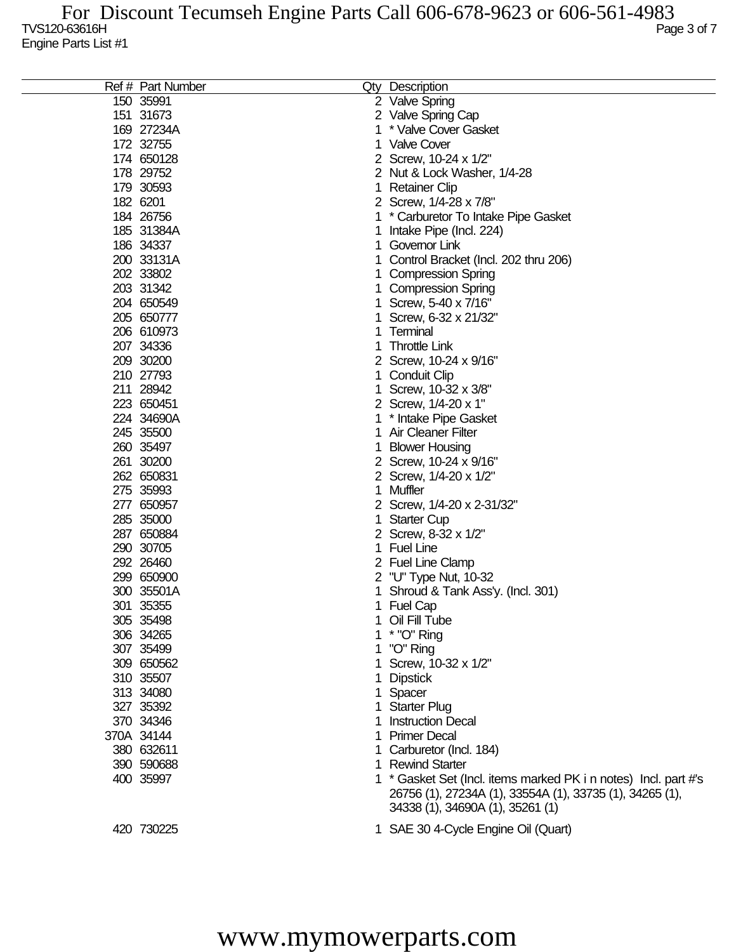| Ref # Part Number |   | Qty Description                                                 |
|-------------------|---|-----------------------------------------------------------------|
| 150 35991         |   | 2 Valve Spring                                                  |
| 151 31673         |   | 2 Valve Spring Cap                                              |
| 169 27234A        | 1 | * Valve Cover Gasket                                            |
| 172 32755         | 1 | <b>Valve Cover</b>                                              |
| 174 650128        |   | 2 Screw, 10-24 x 1/2"                                           |
| 178 29752         |   |                                                                 |
|                   |   | 2 Nut & Lock Washer, 1/4-28                                     |
| 179 30593         | 1 | <b>Retainer Clip</b>                                            |
| 182 6201          |   | 2 Screw, 1/4-28 x 7/8"                                          |
| 184 26756         | 1 | * Carburetor To Intake Pipe Gasket                              |
| 185 31384A        | 1 | Intake Pipe (Incl. 224)                                         |
| 186 34337         | 1 | Governor Link                                                   |
| 200 33131A        | 1 | Control Bracket (Incl. 202 thru 206)                            |
| 202 33802         |   | <b>Compression Spring</b>                                       |
| 203 31342         |   | <b>Compression Spring</b>                                       |
| 204 650549        |   | Screw, 5-40 x 7/16"                                             |
| 205 650777        |   | Screw, 6-32 x 21/32"                                            |
| 206 610973        | 1 | Terminal                                                        |
| 207 34336         | 1 | <b>Throttle Link</b>                                            |
| 209 30200         |   | 2 Screw, 10-24 x 9/16"                                          |
| 210 27793         | 1 | <b>Conduit Clip</b>                                             |
| 211 28942         | 1 | Screw, 10-32 x 3/8"                                             |
| 223 650451        |   | 2 Screw, 1/4-20 x 1"                                            |
| 224 34690A        | 1 | * Intake Pipe Gasket                                            |
| 245 35500         | 1 | <b>Air Cleaner Filter</b>                                       |
| 260 35497         |   | <b>Blower Housing</b>                                           |
| 261 30200         |   | 2 Screw, 10-24 x 9/16"                                          |
| 262 650831        |   | 2 Screw, 1/4-20 x 1/2"                                          |
| 275 35993         | 1 | Muffler                                                         |
| 277 650957        |   | 2 Screw, 1/4-20 x 2-31/32"                                      |
| 285 35000         | 1 | <b>Starter Cup</b>                                              |
| 287 650884        |   | 2 Screw, 8-32 x 1/2"                                            |
| 290 30705         | 1 | <b>Fuel Line</b>                                                |
| 292 26460         |   | 2 Fuel Line Clamp                                               |
| 299 650900        | 2 | "U" Type Nut, 10-32                                             |
| 300 35501A        |   | Shroud & Tank Ass'y. (Incl. 301)                                |
| 301 35355         |   | 1 Fuel Cap                                                      |
| 305 35498         | 1 | Oil Fill Tube                                                   |
| 306 34265         |   | * "O" Ring                                                      |
| 307 35499         |   | "O" Ring                                                        |
| 309 650562        |   | Screw, 10-32 x 1/2"                                             |
|                   |   |                                                                 |
| 310 35507         |   | <b>Dipstick</b>                                                 |
| 313 34080         | 1 | Spacer                                                          |
| 327 35392         | 1 | <b>Starter Plug</b>                                             |
| 370 34346         | 1 | <b>Instruction Decal</b>                                        |
| 370A 34144        | 1 | <b>Primer Decal</b>                                             |
| 380 632611        |   | Carburetor (Incl. 184)                                          |
| 390 590688        | 1 | <b>Rewind Starter</b>                                           |
| 400 35997         |   | 1 * Gasket Set (Incl. items marked PK i n notes) Incl. part #'s |
|                   |   | 26756 (1), 27234A (1), 33554A (1), 33735 (1), 34265 (1),        |
|                   |   | 34338 (1), 34690A (1), 35261 (1)                                |
| 420 730225        |   | 1 SAE 30 4-Cycle Engine Oil (Quart)                             |
|                   |   |                                                                 |

## www.mymowerparts.com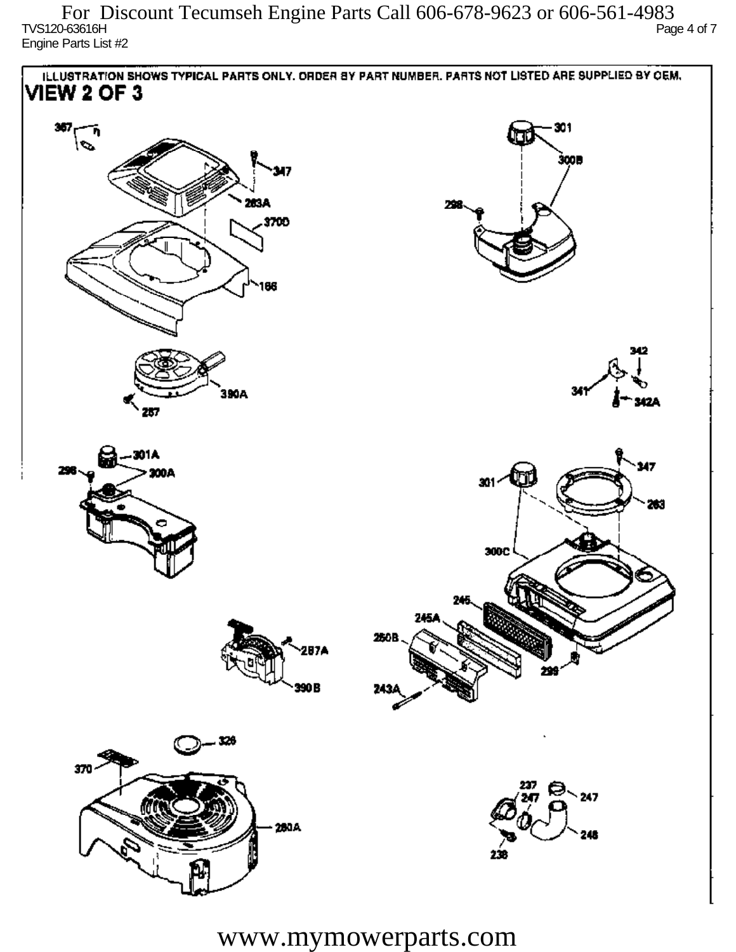$T$ VS120-63616H Page 4 of 7 Engine Parts List #2 For Discount Tecumseh Engine Parts Call 606-678-9623 or 606-561-4983



www.mymowerparts.com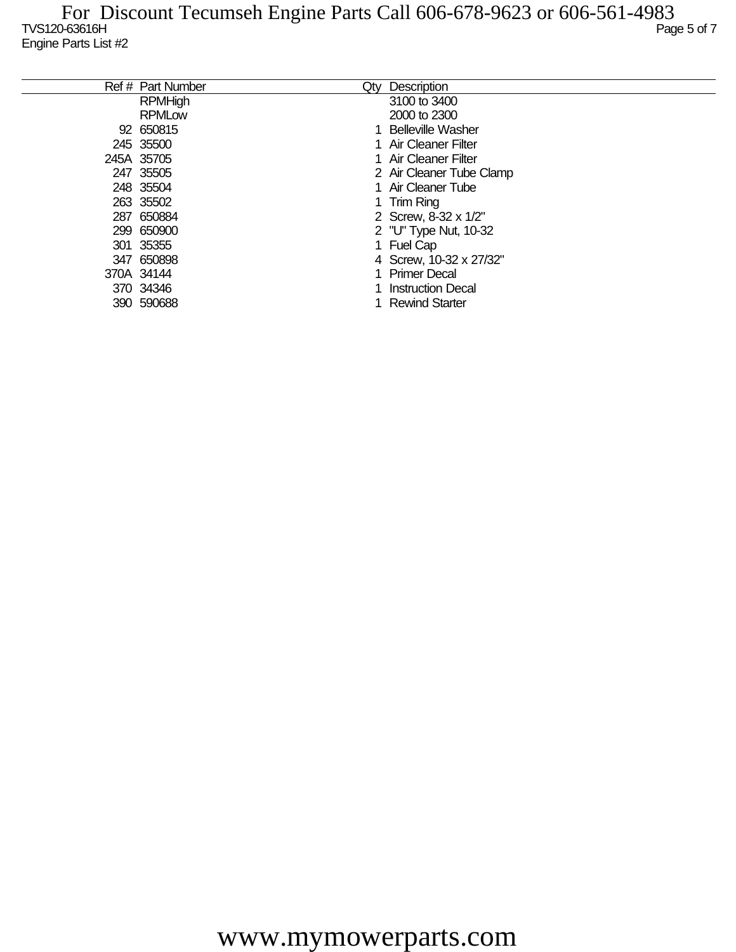| Ref # Part Number | Qty | Description              |
|-------------------|-----|--------------------------|
| <b>RPMHigh</b>    |     | 3100 to 3400             |
| <b>RPMLow</b>     |     | 2000 to 2300             |
| 92 650815         |     | <b>Belleville Washer</b> |
| 245 35500         |     | Air Cleaner Filter       |
| 245A 35705        |     | 1 Air Cleaner Filter     |
| 247 35505         |     | 2 Air Cleaner Tube Clamp |
| 248 35504         |     | 1 Air Cleaner Tube       |
| 263 35502         |     | 1 Trim Ring              |
| 287 650884        |     | 2 Screw, 8-32 x 1/2"     |
| 299 650900        |     | 2 "U" Type Nut, 10-32    |
| 301 35355         |     | <b>Fuel Cap</b>          |
| 347 650898        |     | 4 Screw, 10-32 x 27/32"  |
| 370A 34144        |     | <b>Primer Decal</b>      |
| 370 34346         |     | <b>Instruction Decal</b> |
| 390 590688        |     | <b>Rewind Starter</b>    |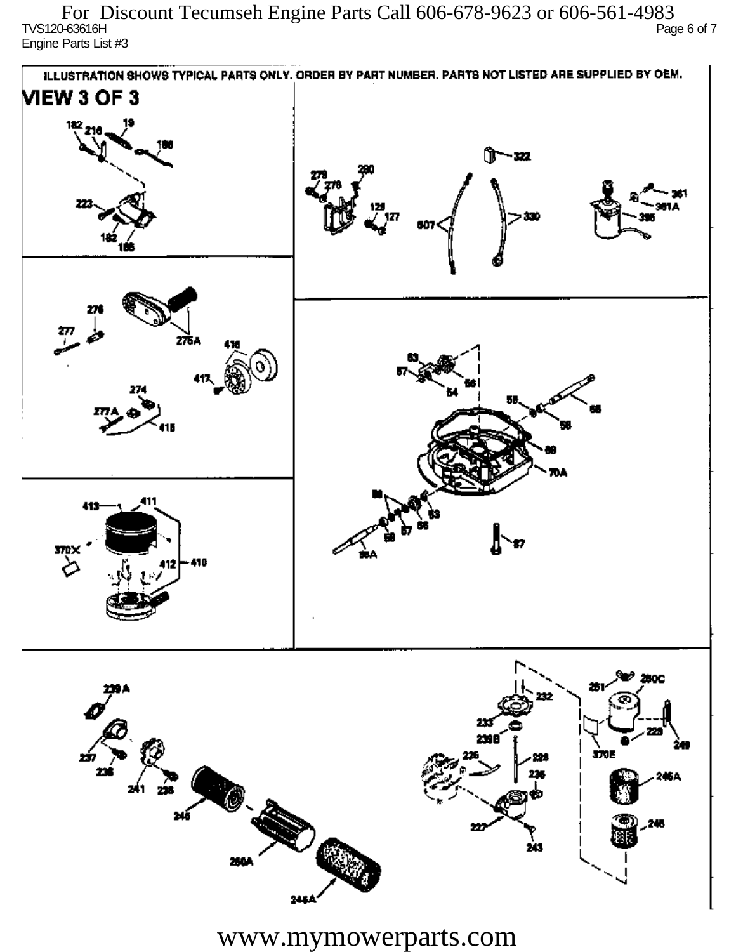$\overline{C}$  TVS120-63616H Page 6 of 7 Engine Parts List #3 For Discount Tecumseh Engine Parts Call 606-678-9623 or 606-561-4983



www.mymowerparts.com